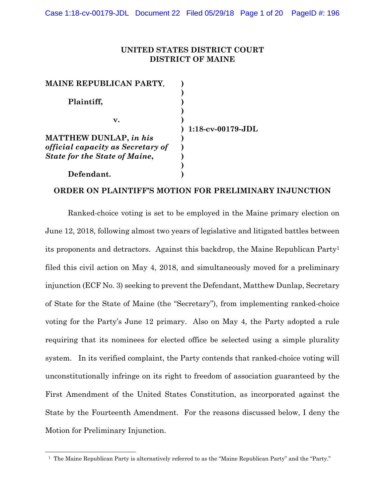## **UNITED STATES DISTRICT COURT DISTRICT OF MAINE**

| <b>MAINE REPUBLICAN PARTY,</b>           |                      |
|------------------------------------------|----------------------|
| Plaintiff,                               |                      |
| v.                                       | $1:18$ -cv-00179-JDL |
| <b>MATTHEW DUNLAP, in his</b>            |                      |
| <i>official capacity as Secretary of</i> |                      |
| <b>State for the State of Maine,</b>     |                      |
|                                          |                      |
| Defendant.                               |                      |

# **ORDER ON PLAINTIFF'S MOTION FOR PRELIMINARY INJUNCTION**

Ranked-choice voting is set to be employed in the Maine primary election on June 12, 2018, following almost two years of legislative and litigated battles between its proponents and detractors. Against this backdrop, the Maine Republican Party1 filed this civil action on May 4, 2018, and simultaneously moved for a preliminary injunction (ECF No. 3) seeking to prevent the Defendant, Matthew Dunlap, Secretary of State for the State of Maine (the "Secretary"), from implementing ranked-choice voting for the Party's June 12 primary. Also on May 4, the Party adopted a rule requiring that its nominees for elected office be selected using a simple plurality system. In its verified complaint, the Party contends that ranked-choice voting will unconstitutionally infringe on its right to freedom of association guaranteed by the First Amendment of the United States Constitution, as incorporated against the State by the Fourteenth Amendment. For the reasons discussed below, I deny the Motion for Preliminary Injunction.

 <sup>1</sup> The Maine Republican Party is alternatively referred to as the "Maine Republican Party" and the "Party."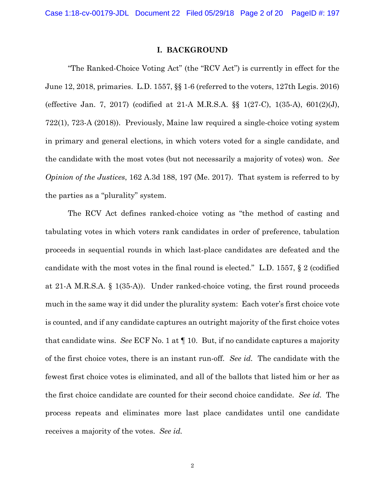Case 1:18-cv-00179-JDL Document 22 Filed 05/29/18 Page 2 of 20 PageID #: 197

#### **I. BACKGROUND**

"The Ranked-Choice Voting Act" (the "RCV Act") is currently in effect for the June 12, 2018, primaries. L.D. 1557, §§ 1-6 (referred to the voters, 127th Legis. 2016) (effective Jan. 7, 2017) (codified at 21-A M.R.S.A. §§ 1(27-C), 1(35-A), 601(2)(J), 722(1), 723-A (2018)). Previously, Maine law required a single-choice voting system in primary and general elections, in which voters voted for a single candidate, and the candidate with the most votes (but not necessarily a majority of votes) won. *See Opinion of the Justices*, 162 A.3d 188, 197 (Me. 2017). That system is referred to by the parties as a "plurality" system.

The RCV Act defines ranked-choice voting as "the method of casting and tabulating votes in which voters rank candidates in order of preference, tabulation proceeds in sequential rounds in which last-place candidates are defeated and the candidate with the most votes in the final round is elected." L.D. 1557, § 2 (codified at 21-A M.R.S.A. § 1(35-A)). Under ranked-choice voting, the first round proceeds much in the same way it did under the plurality system: Each voter's first choice vote is counted, and if any candidate captures an outright majority of the first choice votes that candidate wins. *See* ECF No. 1 at ¶ 10. But, if no candidate captures a majority of the first choice votes, there is an instant run-off. *See id.* The candidate with the fewest first choice votes is eliminated, and all of the ballots that listed him or her as the first choice candidate are counted for their second choice candidate. *See id.* The process repeats and eliminates more last place candidates until one candidate receives a majority of the votes. *See id.*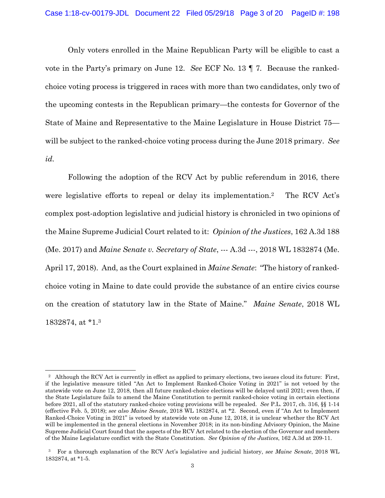Only voters enrolled in the Maine Republican Party will be eligible to cast a vote in the Party's primary on June 12. *See* ECF No. 13 ¶ 7*.* Because the rankedchoice voting process is triggered in races with more than two candidates, only two of the upcoming contests in the Republican primary—the contests for Governor of the State of Maine and Representative to the Maine Legislature in House District 75 will be subject to the ranked-choice voting process during the June 2018 primary. *See id.*

Following the adoption of the RCV Act by public referendum in 2016, there were legislative efforts to repeal or delay its implementation.2 The RCV Act's complex post-adoption legislative and judicial history is chronicled in two opinions of the Maine Supreme Judicial Court related to it: *Opinion of the Justices*, 162 A.3d 188 (Me. 2017) and *Maine Senate v. Secretary of State*, --- A.3d ---, 2018 WL 1832874 (Me. April 17, 2018). And, as the Court explained in *Maine Senate*: "The history of rankedchoice voting in Maine to date could provide the substance of an entire civics course on the creation of statutory law in the State of Maine." *Maine Senate*, 2018 WL 1832874, at \*1.3

<sup>&</sup>lt;sup>2</sup> Although the RCV Act is currently in effect as applied to primary elections, two issues cloud its future: First, if the legislative measure titled "An Act to Implement Ranked-Choice Voting in 2021" is not vetoed by the statewide vote on June 12, 2018, then all future ranked-choice elections will be delayed until 2021; even then, if the State Legislature fails to amend the Maine Constitution to permit ranked-choice voting in certain elections before 2021, all of the statutory ranked-choice voting provisions will be repealed. *See* P.L. 2017, ch. 316, §§ 1-14 (effective Feb. 5, 2018); *see also Maine Senate*, 2018 WL 1832874, at \*2. Second, even if "An Act to Implement Ranked-Choice Voting in 2021" is vetoed by statewide vote on June 12, 2018, it is unclear whether the RCV Act will be implemented in the general elections in November 2018; in its non-binding Advisory Opinion, the Maine Supreme Judicial Court found that the aspects of the RCV Act related to the election of the Governor and members of the Maine Legislature conflict with the State Constitution. *See Opinion of the Justices*, 162 A.3d at 209-11.

 <sup>3</sup> For a thorough explanation of the RCV Act's legislative and judicial history, *see Maine Senate*, 2018 WL 1832874, at \*1-5.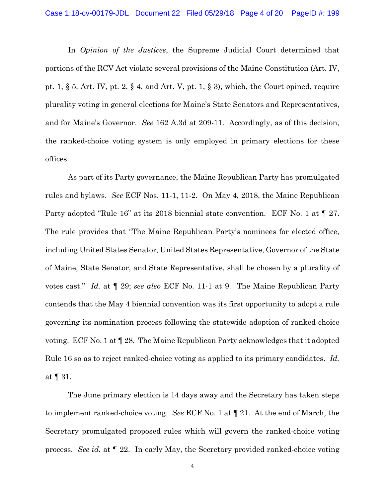In *Opinion of the Justices*, the Supreme Judicial Court determined that portions of the RCV Act violate several provisions of the Maine Constitution (Art. IV, pt. 1, § 5, Art. IV, pt. 2, § 4, and Art. V, pt. 1, § 3), which, the Court opined, require plurality voting in general elections for Maine's State Senators and Representatives, and for Maine's Governor. *See* 162 A.3d at 209-11. Accordingly, as of this decision, the ranked-choice voting system is only employed in primary elections for these offices.

As part of its Party governance, the Maine Republican Party has promulgated rules and bylaws. *See* ECF Nos. 11-1, 11-2. On May 4, 2018, the Maine Republican Party adopted "Rule 16" at its 2018 biennial state convention. ECF No. 1 at  $\llbracket$  27. The rule provides that "The Maine Republican Party's nominees for elected office, including United States Senator, United States Representative, Governor of the State of Maine, State Senator, and State Representative, shall be chosen by a plurality of votes cast." *Id.* at ¶ 29; *see also* ECF No. 11-1 at 9. The Maine Republican Party contends that the May 4 biennial convention was its first opportunity to adopt a rule governing its nomination process following the statewide adoption of ranked-choice voting. ECF No. 1 at ¶ 28. The Maine Republican Party acknowledges that it adopted Rule 16 so as to reject ranked-choice voting as applied to its primary candidates. *Id.*  at ¶ 31.

The June primary election is 14 days away and the Secretary has taken steps to implement ranked-choice voting. *See* ECF No. 1 at ¶ 21. At the end of March, the Secretary promulgated proposed rules which will govern the ranked-choice voting process. *See id.* at ¶ 22. In early May, the Secretary provided ranked-choice voting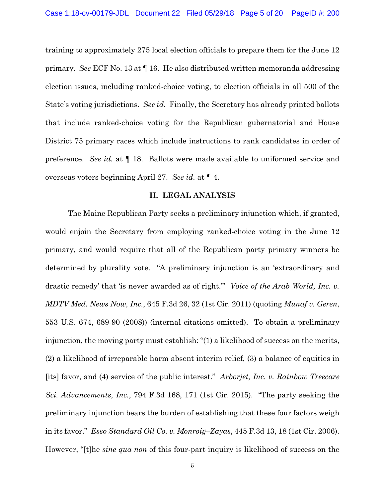training to approximately 275 local election officials to prepare them for the June 12 primary. *See* ECF No. 13 at ¶ 16. He also distributed written memoranda addressing election issues, including ranked-choice voting, to election officials in all 500 of the State's voting jurisdictions. *See id.* Finally, the Secretary has already printed ballots that include ranked-choice voting for the Republican gubernatorial and House District 75 primary races which include instructions to rank candidates in order of preference. *See id.* at ¶ 18. Ballots were made available to uniformed service and overseas voters beginning April 27. *See id.* at ¶ 4.

#### **II. LEGAL ANALYSIS**

 The Maine Republican Party seeks a preliminary injunction which, if granted, would enjoin the Secretary from employing ranked-choice voting in the June 12 primary, and would require that all of the Republican party primary winners be determined by plurality vote. "A preliminary injunction is an 'extraordinary and drastic remedy' that 'is never awarded as of right.'" *Voice of the Arab World, Inc. v. MDTV Med. News Now, Inc.*, 645 F.3d 26, 32 (1st Cir. 2011) (quoting *Munaf v. Geren*, 553 U.S. 674, 689-90 (2008)) (internal citations omitted). To obtain a preliminary injunction, the moving party must establish: "(1) a likelihood of success on the merits, (2) a likelihood of irreparable harm absent interim relief, (3) a balance of equities in [its] favor, and (4) service of the public interest." *Arborjet, Inc. v. Rainbow Treecare Sci. Advancements, Inc.*, 794 F.3d 168, 171 (1st Cir. 2015). "The party seeking the preliminary injunction bears the burden of establishing that these four factors weigh in its favor." *Esso Standard Oil Co. v. Monroig–Zayas*, 445 F.3d 13, 18 (1st Cir. 2006). However, "[t]he *sine qua non* of this four-part inquiry is likelihood of success on the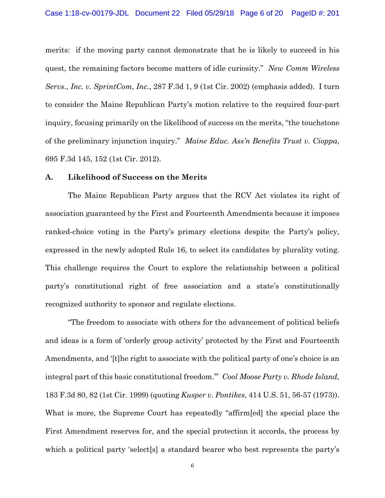merits: if the moving party cannot demonstrate that he is likely to succeed in his quest, the remaining factors become matters of idle curiosity." *New Comm Wireless Servs., Inc. v. SprintCom, Inc.*, 287 F.3d 1, 9 (1st Cir. 2002) (emphasis added). I turn to consider the Maine Republican Party's motion relative to the required four-part inquiry, focusing primarily on the likelihood of success on the merits, "the touchstone of the preliminary injunction inquiry." *Maine Educ. Ass'n Benefits Trust v. Cioppa*, 695 F.3d 145, 152 (1st Cir. 2012).

#### **A. Likelihood of Success on the Merits**

The Maine Republican Party argues that the RCV Act violates its right of association guaranteed by the First and Fourteenth Amendments because it imposes ranked-choice voting in the Party's primary elections despite the Party's policy, expressed in the newly adopted Rule 16, to select its candidates by plurality voting. This challenge requires the Court to explore the relationship between a political party's constitutional right of free association and a state's constitutionally recognized authority to sponsor and regulate elections.

"The freedom to associate with others for the advancement of political beliefs and ideas is a form of 'orderly group activity' protected by the First and Fourteenth Amendments, and '[t]he right to associate with the political party of one's choice is an integral part of this basic constitutional freedom.'" *Cool Moose Party v. Rhode Island*, 183 F.3d 80, 82 (1st Cir. 1999) (quoting *Kusper v. Pontikes*, 414 U.S. 51, 56-57 (1973)). What is more, the Supreme Court has repeatedly "affirm[ed] the special place the First Amendment reserves for, and the special protection it accords, the process by which a political party 'select<sup>[s]</sup> a standard bearer who best represents the party's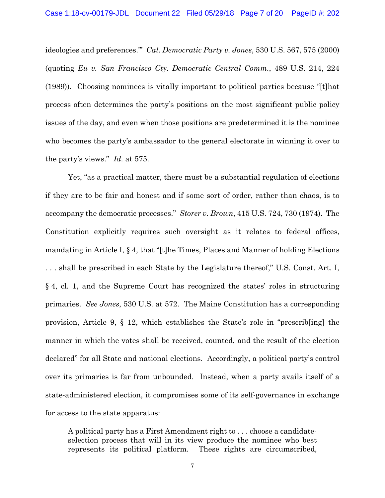ideologies and preferences.'" *Cal. Democratic Party v. Jones*, 530 U.S. 567, 575 (2000) (quoting *Eu v. San Francisco Cty. Democratic Central Comm.*, 489 U.S. 214, 224 (1989)). Choosing nominees is vitally important to political parties because "[t]hat process often determines the party's positions on the most significant public policy issues of the day, and even when those positions are predetermined it is the nominee who becomes the party's ambassador to the general electorate in winning it over to the party's views." *Id.* at 575.

Yet, "as a practical matter, there must be a substantial regulation of elections if they are to be fair and honest and if some sort of order, rather than chaos, is to accompany the democratic processes." *Storer v. Brown*, 415 U.S. 724, 730 (1974). The Constitution explicitly requires such oversight as it relates to federal offices, mandating in Article I, § 4, that "[t]he Times, Places and Manner of holding Elections . . . shall be prescribed in each State by the Legislature thereof," U.S. Const. Art. I, § 4, cl. 1, and the Supreme Court has recognized the states' roles in structuring primaries. *See Jones*, 530 U.S. at 572. The Maine Constitution has a corresponding provision, Article 9, § 12, which establishes the State's role in "prescrib[ing] the manner in which the votes shall be received, counted, and the result of the election declared" for all State and national elections. Accordingly, a political party's control over its primaries is far from unbounded. Instead, when a party avails itself of a state-administered election, it compromises some of its self-governance in exchange for access to the state apparatus:

A political party has a First Amendment right to . . . choose a candidateselection process that will in its view produce the nominee who best represents its political platform. These rights are circumscribed,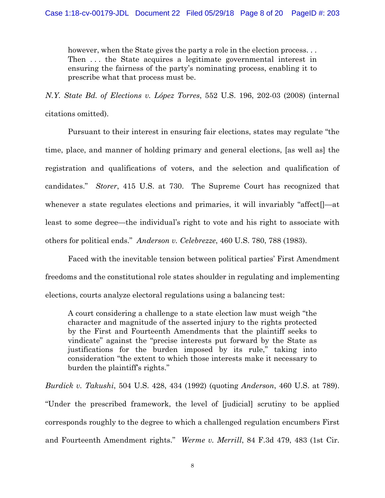however, when the State gives the party a role in the election process... Then ... the State acquires a legitimate governmental interest in ensuring the fairness of the party's nominating process, enabling it to prescribe what that process must be.

*N.Y. State Bd. of Elections v. López Torres*, 552 U.S. 196, 202-03 (2008) (internal citations omitted).

Pursuant to their interest in ensuring fair elections, states may regulate "the time, place, and manner of holding primary and general elections, [as well as] the registration and qualifications of voters, and the selection and qualification of candidates." *Storer*, 415 U.S. at 730. The Supreme Court has recognized that whenever a state regulates elections and primaries, it will invariably "affect<sup>[1</sup>—at least to some degree—the individual's right to vote and his right to associate with others for political ends." *Anderson v. Celebrezze*, 460 U.S. 780, 788 (1983).

Faced with the inevitable tension between political parties' First Amendment freedoms and the constitutional role states shoulder in regulating and implementing elections, courts analyze electoral regulations using a balancing test:

A court considering a challenge to a state election law must weigh "the character and magnitude of the asserted injury to the rights protected by the First and Fourteenth Amendments that the plaintiff seeks to vindicate" against the "precise interests put forward by the State as justifications for the burden imposed by its rule," taking into consideration "the extent to which those interests make it necessary to burden the plaintiff's rights."

*Burdick v. Takushi*, 504 U.S. 428, 434 (1992) (quoting *Anderson*, 460 U.S. at 789). "Under the prescribed framework, the level of [judicial] scrutiny to be applied corresponds roughly to the degree to which a challenged regulation encumbers First and Fourteenth Amendment rights." *Werme v. Merrill*, 84 F.3d 479, 483 (1st Cir.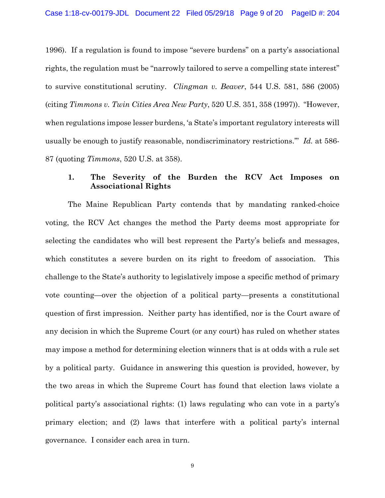1996). If a regulation is found to impose "severe burdens" on a party's associational rights, the regulation must be "narrowly tailored to serve a compelling state interest" to survive constitutional scrutiny. *Clingman v. Beaver*, 544 U.S. 581, 586 (2005) (citing *Timmons v. Twin Cities Area New Party*, 520 U.S. 351, 358 (1997)). "However, when regulations impose lesser burdens, 'a State's important regulatory interests will usually be enough to justify reasonable, nondiscriminatory restrictions.'" *Id.* at 586- 87 (quoting *Timmons*, 520 U.S. at 358).

# **1. The Severity of the Burden the RCV Act Imposes on Associational Rights**

The Maine Republican Party contends that by mandating ranked-choice voting, the RCV Act changes the method the Party deems most appropriate for selecting the candidates who will best represent the Party's beliefs and messages, which constitutes a severe burden on its right to freedom of association.This challenge to the State's authority to legislatively impose a specific method of primary vote counting—over the objection of a political party—presents a constitutional question of first impression. Neither party has identified, nor is the Court aware of any decision in which the Supreme Court (or any court) has ruled on whether states may impose a method for determining election winners that is at odds with a rule set by a political party. Guidance in answering this question is provided, however, by the two areas in which the Supreme Court has found that election laws violate a political party's associational rights: (1) laws regulating who can vote in a party's primary election; and (2) laws that interfere with a political party's internal governance. I consider each area in turn.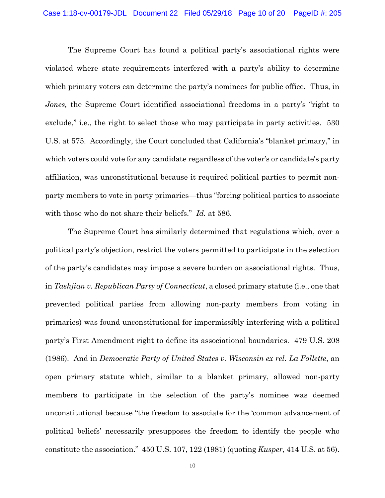The Supreme Court has found a political party's associational rights were violated where state requirements interfered with a party's ability to determine which primary voters can determine the party's nominees for public office. Thus, in *Jones*, the Supreme Court identified associational freedoms in a party's "right to exclude," i.e., the right to select those who may participate in party activities. 530 U.S. at 575. Accordingly, the Court concluded that California's "blanket primary," in which voters could vote for any candidate regardless of the voter's or candidate's party affiliation, was unconstitutional because it required political parties to permit nonparty members to vote in party primaries—thus "forcing political parties to associate with those who do not share their beliefs." *Id.* at 586.

The Supreme Court has similarly determined that regulations which, over a political party's objection, restrict the voters permitted to participate in the selection of the party's candidates may impose a severe burden on associational rights. Thus, in *Tashjian v. Republican Party of Connecticut*, a closed primary statute (i.e., one that prevented political parties from allowing non-party members from voting in primaries) was found unconstitutional for impermissibly interfering with a political party's First Amendment right to define its associational boundaries. 479 U.S. 208 (1986). And in *Democratic Party of United States v. Wisconsin ex rel. La Follette*, an open primary statute which, similar to a blanket primary, allowed non-party members to participate in the selection of the party's nominee was deemed unconstitutional because "the freedom to associate for the 'common advancement of political beliefs' necessarily presupposes the freedom to identify the people who constitute the association." 450 U.S. 107, 122 (1981) (quoting *Kusper*, 414 U.S. at 56).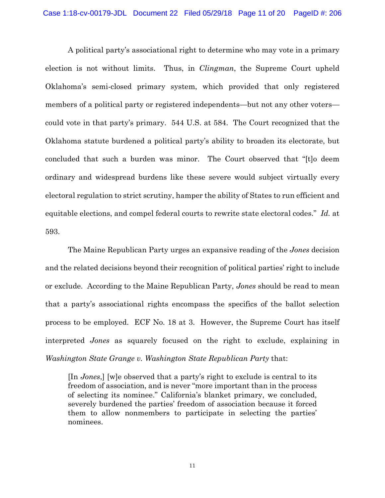A political party's associational right to determine who may vote in a primary election is not without limits. Thus, in *Clingman*, the Supreme Court upheld Oklahoma's semi-closed primary system, which provided that only registered members of a political party or registered independents—but not any other voters could vote in that party's primary. 544 U.S. at 584. The Court recognized that the Oklahoma statute burdened a political party's ability to broaden its electorate, but concluded that such a burden was minor. The Court observed that "[t]o deem ordinary and widespread burdens like these severe would subject virtually every electoral regulation to strict scrutiny, hamper the ability of States to run efficient and equitable elections, and compel federal courts to rewrite state electoral codes." *Id.* at 593.

The Maine Republican Party urges an expansive reading of the *Jones* decision and the related decisions beyond their recognition of political parties' right to include or exclude. According to the Maine Republican Party, *Jones* should be read to mean that a party's associational rights encompass the specifics of the ballot selection process to be employed. ECF No. 18 at 3. However, the Supreme Court has itself interpreted *Jones* as squarely focused on the right to exclude, explaining in *Washington State Grange v. Washington State Republican Party* that:

[In *Jones*,] [w]e observed that a party's right to exclude is central to its freedom of association, and is never "more important than in the process of selecting its nominee." California's blanket primary, we concluded, severely burdened the parties' freedom of association because it forced them to allow nonmembers to participate in selecting the parties' nominees.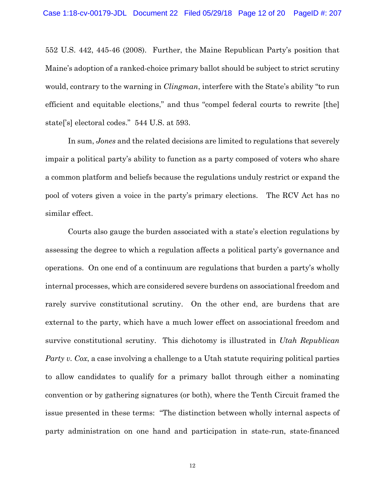552 U.S. 442, 445-46 (2008). Further, the Maine Republican Party's position that Maine's adoption of a ranked-choice primary ballot should be subject to strict scrutiny would, contrary to the warning in *Clingman*, interfere with the State's ability "to run efficient and equitable elections," and thus "compel federal courts to rewrite [the] state['s] electoral codes." 544 U.S. at 593.

In sum, *Jones* and the related decisions are limited to regulations that severely impair a political party's ability to function as a party composed of voters who share a common platform and beliefs because the regulations unduly restrict or expand the pool of voters given a voice in the party's primary elections. The RCV Act has no similar effect.

Courts also gauge the burden associated with a state's election regulations by assessing the degree to which a regulation affects a political party's governance and operations. On one end of a continuum are regulations that burden a party's wholly internal processes, which are considered severe burdens on associational freedom and rarely survive constitutional scrutiny. On the other end, are burdens that are external to the party, which have a much lower effect on associational freedom and survive constitutional scrutiny. This dichotomy is illustrated in *Utah Republican Party v. Cox*, a case involving a challenge to a Utah statute requiring political parties to allow candidates to qualify for a primary ballot through either a nominating convention or by gathering signatures (or both), where the Tenth Circuit framed the issue presented in these terms: "The distinction between wholly internal aspects of party administration on one hand and participation in state-run, state-financed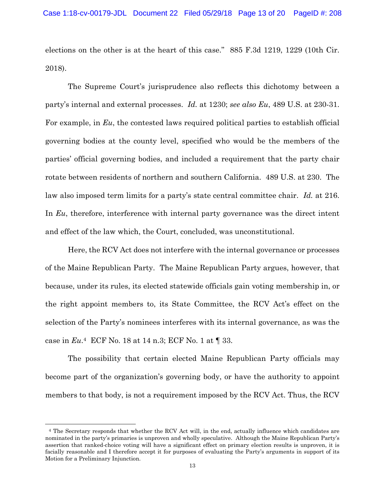elections on the other is at the heart of this case." 885 F.3d 1219, 1229 (10th Cir. 2018).

The Supreme Court's jurisprudence also reflects this dichotomy between a party's internal and external processes. *Id.* at 1230; *see also Eu*, 489 U.S. at 230-31. For example, in *Eu*, the contested laws required political parties to establish official governing bodies at the county level, specified who would be the members of the parties' official governing bodies, and included a requirement that the party chair rotate between residents of northern and southern California. 489 U.S. at 230. The law also imposed term limits for a party's state central committee chair. *Id.* at 216. In *Eu*, therefore, interference with internal party governance was the direct intent and effect of the law which, the Court, concluded, was unconstitutional.

Here, the RCV Act does not interfere with the internal governance or processes of the Maine Republican Party. The Maine Republican Party argues, however, that because, under its rules, its elected statewide officials gain voting membership in, or the right appoint members to, its State Committee, the RCV Act's effect on the selection of the Party's nominees interferes with its internal governance, as was the case in *Eu*.4 ECF No. 18 at 14 n.3; ECF No. 1 at ¶ 33.

The possibility that certain elected Maine Republican Party officials may become part of the organization's governing body, or have the authority to appoint members to that body, is not a requirement imposed by the RCV Act. Thus, the RCV

 $\overline{a}$ 

 <sup>4</sup> The Secretary responds that whether the RCV Act will, in the end, actually influence which candidates are nominated in the party's primaries is unproven and wholly speculative. Although the Maine Republican Party's assertion that ranked-choice voting will have a significant effect on primary election results is unproven, it is facially reasonable and I therefore accept it for purposes of evaluating the Party's arguments in support of its Motion for a Preliminary Injunction.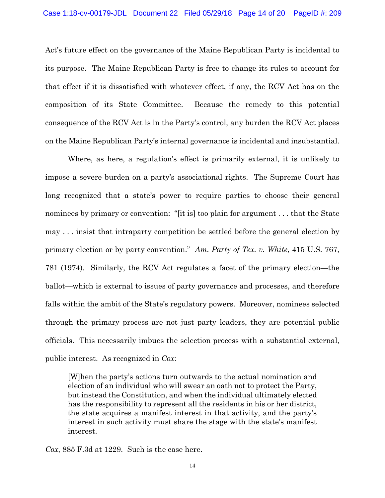Act's future effect on the governance of the Maine Republican Party is incidental to its purpose. The Maine Republican Party is free to change its rules to account for that effect if it is dissatisfied with whatever effect, if any, the RCV Act has on the composition of its State Committee. Because the remedy to this potential consequence of the RCV Act is in the Party's control, any burden the RCV Act places on the Maine Republican Party's internal governance is incidental and insubstantial.

Where, as here, a regulation's effect is primarily external, it is unlikely to impose a severe burden on a party's associational rights. The Supreme Court has long recognized that a state's power to require parties to choose their general nominees by primary or convention: "[it is] too plain for argument . . . that the State may . . . insist that intraparty competition be settled before the general election by primary election or by party convention." *Am. Party of Tex. v. White*, 415 U.S. 767, 781 (1974). Similarly, the RCV Act regulates a facet of the primary election—the ballot—which is external to issues of party governance and processes, and therefore falls within the ambit of the State's regulatory powers. Moreover, nominees selected through the primary process are not just party leaders, they are potential public officials. This necessarily imbues the selection process with a substantial external, public interest. As recognized in *Cox*:

[W]hen the party's actions turn outwards to the actual nomination and election of an individual who will swear an oath not to protect the Party, but instead the Constitution, and when the individual ultimately elected has the responsibility to represent all the residents in his or her district, the state acquires a manifest interest in that activity, and the party's interest in such activity must share the stage with the state's manifest interest.

*Cox*, 885 F.3d at 1229. Such is the case here.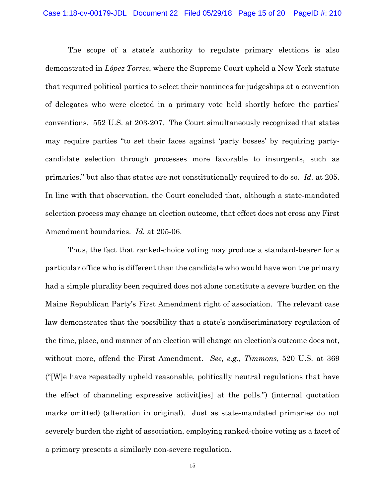The scope of a state's authority to regulate primary elections is also demonstrated in *López Torres*, where the Supreme Court upheld a New York statute that required political parties to select their nominees for judgeships at a convention of delegates who were elected in a primary vote held shortly before the parties' conventions. 552 U.S. at 203-207. The Court simultaneously recognized that states may require parties "to set their faces against 'party bosses' by requiring partycandidate selection through processes more favorable to insurgents, such as primaries," but also that states are not constitutionally required to do so. *Id.* at 205. In line with that observation, the Court concluded that, although a state-mandated selection process may change an election outcome, that effect does not cross any First Amendment boundaries. *Id.* at 205-06.

Thus, the fact that ranked-choice voting may produce a standard-bearer for a particular office who is different than the candidate who would have won the primary had a simple plurality been required does not alone constitute a severe burden on the Maine Republican Party's First Amendment right of association. The relevant case law demonstrates that the possibility that a state's nondiscriminatory regulation of the time, place, and manner of an election will change an election's outcome does not, without more, offend the First Amendment. *See, e.g.*, *Timmons*, 520 U.S. at 369 ("[W]e have repeatedly upheld reasonable, politically neutral regulations that have the effect of channeling expressive activit[ies] at the polls.") (internal quotation marks omitted) (alteration in original).Just as state-mandated primaries do not severely burden the right of association, employing ranked-choice voting as a facet of a primary presents a similarly non-severe regulation.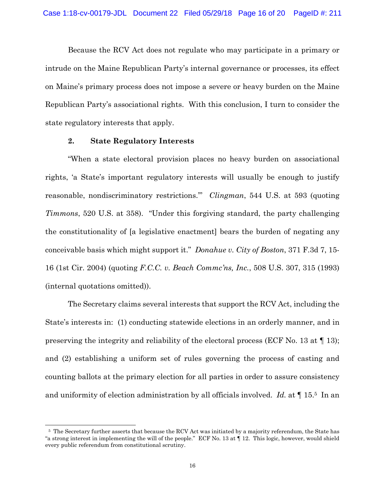Because the RCV Act does not regulate who may participate in a primary or intrude on the Maine Republican Party's internal governance or processes, its effect on Maine's primary process does not impose a severe or heavy burden on the Maine Republican Party's associational rights. With this conclusion, I turn to consider the state regulatory interests that apply.

### **2. State Regulatory Interests**

 $\overline{a}$ 

"When a state electoral provision places no heavy burden on associational rights, 'a State's important regulatory interests will usually be enough to justify reasonable, nondiscriminatory restrictions.'" *Clingman*, 544 U.S. at 593 (quoting *Timmons*, 520 U.S. at 358). "Under this forgiving standard, the party challenging the constitutionality of [a legislative enactment] bears the burden of negating any conceivable basis which might support it." *Donahue v. City of Boston*, 371 F.3d 7, 15- 16 (1st Cir. 2004) (quoting *F.C.C. v. Beach Commc'ns, Inc.*, 508 U.S. 307, 315 (1993) (internal quotations omitted)).

The Secretary claims several interests that support the RCV Act, including the State's interests in: (1) conducting statewide elections in an orderly manner, and in preserving the integrity and reliability of the electoral process (ECF No. 13 at ¶ 13); and (2) establishing a uniform set of rules governing the process of casting and counting ballots at the primary election for all parties in order to assure consistency and uniformity of election administration by all officials involved. *Id.* at ¶ 15.5 In an

 <sup>5</sup> The Secretary further asserts that because the RCV Act was initiated by a majority referendum, the State has "a strong interest in implementing the will of the people." ECF No. 13 at ¶ 12. This logic, however, would shield every public referendum from constitutional scrutiny.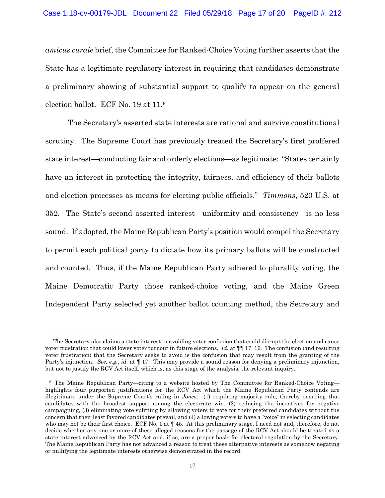*amicus curaie* brief, the Committee for Ranked-Choice Voting further asserts that the State has a legitimate regulatory interest in requiring that candidates demonstrate a preliminary showing of substantial support to qualify to appear on the general election ballot. ECF No. 19 at 11.6

The Secretary's asserted state interests are rational and survive constitutional scrutiny. The Supreme Court has previously treated the Secretary's first proffered state interest—conducting fair and orderly elections—as legitimate: "States certainly have an interest in protecting the integrity, fairness, and efficiency of their ballots and election processes as means for electing public officials." *Timmons*, 520 U.S. at 352. The State's second asserted interest—uniformity and consistency—is no less sound. If adopted, the Maine Republican Party's position would compel the Secretary to permit each political party to dictate how its primary ballots will be constructed and counted. Thus, if the Maine Republican Party adhered to plurality voting, the Maine Democratic Party chose ranked-choice voting, and the Maine Green Independent Party selected yet another ballot counting method, the Secretary and

The Secretary also claims a state interest in avoiding voter confusion that could disrupt the election and cause voter frustration that could lower voter turnout in future elections. *Id.* at  $\P$  [17, 19. The confusion (and resulting voter frustration) that the Secretary seeks to avoid is the confusion that may result from the granting of the Party's injunction. *See, e.g.*, *id.* at ¶ 17. This may provide a sound reason for denying a preliminary injunction, but not to justify the RCV Act itself, which is, as this stage of the analysis, the relevant inquiry.

<sup>6</sup> The Maine Republican Party—citing to a website hosted by The Committee for Ranked-Choice Voting highlights four purported justifications for the RCV Act which the Maine Republican Party contends are illegitimate under the Supreme Court's ruling in *Jones*: (1) requiring majority rule, thereby ensuring that candidates with the broadest support among the electorate win, (2) reducing the incentives for negative campaigning, (3) eliminating vote splitting by allowing voters to vote for their preferred candidates without the concern that their least favored candidates prevail, and (4) allowing voters to have a "voice" in selecting candidates who may not be their first choice. ECF No. 1 at  $\P$  45. At this preliminary stage, I need not and, therefore, do not decide whether any one or more of these alleged reasons for the passage of the RCV Act should be treated as a state interest advanced by the RCV Act and, if so, are a proper basis for electoral regulation by the Secretary. The Maine Republican Party has not advanced a reason to treat these alternative interests as somehow negating or nullifying the legitimate interests otherwise demonstrated in the record.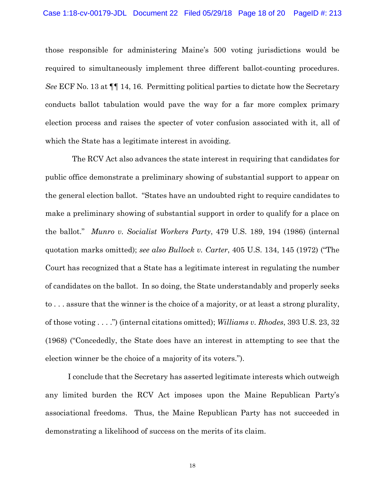those responsible for administering Maine's 500 voting jurisdictions would be required to simultaneously implement three different ballot-counting procedures. *See* ECF No. 13 at ¶¶ 14, 16. Permitting political parties to dictate how the Secretary conducts ballot tabulation would pave the way for a far more complex primary election process and raises the specter of voter confusion associated with it, all of which the State has a legitimate interest in avoiding.

 The RCV Act also advances the state interest in requiring that candidates for public office demonstrate a preliminary showing of substantial support to appear on the general election ballot. "States have an undoubted right to require candidates to make a preliminary showing of substantial support in order to qualify for a place on the ballot." *Munro v. Socialist Workers Party*, 479 U.S. 189, 194 (1986) (internal quotation marks omitted); *see also Bullock v. Carter*, 405 U.S. 134, 145 (1972) ("The Court has recognized that a State has a legitimate interest in regulating the number of candidates on the ballot. In so doing, the State understandably and properly seeks to . . . assure that the winner is the choice of a majority, or at least a strong plurality, of those voting . . . .") (internal citations omitted); *Williams v. Rhodes*, 393 U.S. 23, 32 (1968) ("Concededly, the State does have an interest in attempting to see that the election winner be the choice of a majority of its voters.").

I conclude that the Secretary has asserted legitimate interests which outweigh any limited burden the RCV Act imposes upon the Maine Republican Party's associational freedoms. Thus, the Maine Republican Party has not succeeded in demonstrating a likelihood of success on the merits of its claim.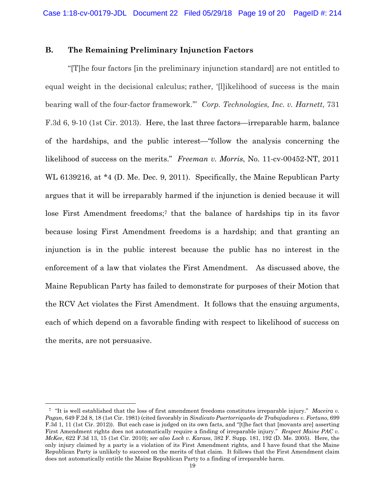## **B. The Remaining Preliminary Injunction Factors**

"[T]he four factors [in the preliminary injunction standard] are not entitled to equal weight in the decisional calculus; rather, '[l]ikelihood of success is the main bearing wall of the four-factor framework.'" *Corp. Technologies, Inc. v. Harnett*, 731 F.3d 6, 9-10 (1st Cir. 2013). Here, the last three factors—irreparable harm, balance of the hardships, and the public interest—"follow the analysis concerning the likelihood of success on the merits." *Freeman v. Morris*, No. 11-cv-00452-NT, 2011 WL 6139216, at \*4 (D. Me. Dec. 9, 2011). Specifically, the Maine Republican Party argues that it will be irreparably harmed if the injunction is denied because it will lose First Amendment freedoms;<sup>7</sup> that the balance of hardships tip in its favor because losing First Amendment freedoms is a hardship; and that granting an injunction is in the public interest because the public has no interest in the enforcement of a law that violates the First Amendment. As discussed above, the Maine Republican Party has failed to demonstrate for purposes of their Motion that the RCV Act violates the First Amendment. It follows that the ensuing arguments, each of which depend on a favorable finding with respect to likelihood of success on the merits, are not persuasive.

 <sup>7 &</sup>quot;It is well established that the loss of first amendment freedoms constitutes irreparable injury." *Maceira v. Pagan*, 649 F.2d 8, 18 (1st Cir. 1981) (cited favorably in *Sindicato Puertorriqueño de Trabajadores v. Fortuno*, 699 F.3d 1, 11 (1st Cir. 2012)). But each case is judged on its own facts, and "[t]he fact that [movants are] asserting First Amendment rights does not automatically require a finding of irreparable injury." *Respect Maine PAC v. McKee*, 622 F.3d 13, 15 (1st Cir. 2010); *see also Lock v. Karass*, 382 F. Supp. 181, 192 (D. Me. 2005). Here, the only injury claimed by a party is a violation of its First Amendment rights, and I have found that the Maine Republican Party is unlikely to succeed on the merits of that claim. It follows that the First Amendment claim does not automatically entitle the Maine Republican Party to a finding of irreparable harm.